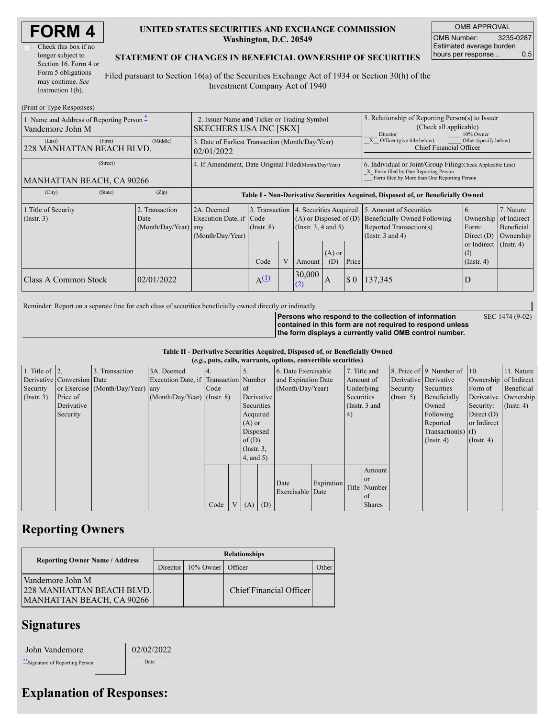| <b>FORM4</b> |  |
|--------------|--|
|--------------|--|

| Check this box if no  |
|-----------------------|
| longer subject to     |
| Section 16. Form 4 or |
| Form 5 obligations    |
| may continue. See     |
| Instruction $1(b)$ .  |
|                       |

### **UNITED STATES SECURITIES AND EXCHANGE COMMISSION Washington, D.C. 20549**

OMB APPROVAL OMB Number: 3235-0287 Estimated average burden hours per response... 0.5

SEC 1474 (9-02)

### **STATEMENT OF CHANGES IN BENEFICIAL OWNERSHIP OF SECURITIES**

Filed pursuant to Section 16(a) of the Securities Exchange Act of 1934 or Section 30(h) of the Investment Company Act of 1940

| (Print or Type Responses)                                             |                                                                              |                                                |                                                                                  |                       |                |                                                                                                                                                    |                                                                                   |          |                                                                                                             |                                                         |                                      |  |
|-----------------------------------------------------------------------|------------------------------------------------------------------------------|------------------------------------------------|----------------------------------------------------------------------------------|-----------------------|----------------|----------------------------------------------------------------------------------------------------------------------------------------------------|-----------------------------------------------------------------------------------|----------|-------------------------------------------------------------------------------------------------------------|---------------------------------------------------------|--------------------------------------|--|
| 1. Name and Address of Reporting Person $\hat{-}$<br>Vandemore John M | 2. Issuer Name and Ticker or Trading Symbol<br><b>SKECHERS USA INC [SKX]</b> |                                                |                                                                                  |                       |                | 5. Relationship of Reporting Person(s) to Issuer<br>(Check all applicable)<br>Director<br>10% Owner                                                |                                                                                   |          |                                                                                                             |                                                         |                                      |  |
| (Last)<br>228 MANHATTAN BEACH BLVD.                                   | (First)                                                                      | (Middle)                                       | 3. Date of Earliest Transaction (Month/Day/Year)<br>02/01/2022                   |                       |                |                                                                                                                                                    |                                                                                   |          | $\overline{X}$ Officer (give title below)<br>Other (specify below)<br><b>Chief Financial Officer</b>        |                                                         |                                      |  |
| MANHATTAN BEACH, CA 90266                                             | 4. If Amendment, Date Original Filed (Month/Day/Year)                        |                                                |                                                                                  |                       |                | 6. Individual or Joint/Group Filing Check Applicable Line)<br>X Form filed by One Reporting Person<br>Form filed by More than One Reporting Person |                                                                                   |          |                                                                                                             |                                                         |                                      |  |
| (City)                                                                | (State)                                                                      | (Zip)                                          | Table I - Non-Derivative Securities Acquired, Disposed of, or Beneficially Owned |                       |                |                                                                                                                                                    |                                                                                   |          |                                                                                                             |                                                         |                                      |  |
| 1. Title of Security<br>$($ Instr. 3 $)$                              |                                                                              | 2. Transaction<br>Date<br>(Month/Day/Year) any | 2A. Deemed<br>Execution Date, if Code<br>(Month/Day/Year)                        | $($ Instr. 8)         | 3. Transaction |                                                                                                                                                    | 4. Securities Acquired<br>$(A)$ or Disposed of $(D)$<br>$($ Instr. 3, 4 and 5 $)$ |          | 5. Amount of Securities<br>Beneficially Owned Following<br>Reported Transaction(s)<br>(Instr. $3$ and $4$ ) | 6.<br>Ownership of Indirect<br>Form:<br>Direct $(D)$    | 7. Nature<br>Beneficial<br>Ownership |  |
|                                                                       |                                                                              |                                                |                                                                                  | Code                  | V              | Amount                                                                                                                                             | $(A)$ or<br>(D)                                                                   | Price    |                                                                                                             | or Indirect $($ Instr. 4 $)$<br>(I)<br>$($ Instr. 4 $)$ |                                      |  |
| Class A Common Stock                                                  |                                                                              | 02/01/2022                                     |                                                                                  | $A^{(\underline{1})}$ |                | 30,000<br><u>(2)</u>                                                                                                                               | A                                                                                 | $\Omega$ | 137,345                                                                                                     |                                                         |                                      |  |

Reminder: Report on a separate line for each class of securities beneficially owned directly or indirectly.

**Persons who respond to the collection of information contained in this form are not required to respond unless the form displays a currently valid OMB control number.**

**Table II - Derivative Securities Acquired, Disposed of, or Beneficially Owned**

| (e.g., puts, calls, warrants, options, convertible securities) |                            |                                  |                                       |      |     |                 |          |                     |            |            |                 |                       |                          |                       |                      |
|----------------------------------------------------------------|----------------------------|----------------------------------|---------------------------------------|------|-----|-----------------|----------|---------------------|------------|------------|-----------------|-----------------------|--------------------------|-----------------------|----------------------|
| 1. Title of $ 2$ .                                             |                            | 3. Transaction                   | 3A. Deemed                            |      |     |                 |          | 6. Date Exercisable |            |            | 7. Title and    |                       | 8. Price of 9. Number of | 10.                   | 11. Nature           |
|                                                                | Derivative Conversion Date |                                  | Execution Date, if Transaction Number |      |     |                 |          | and Expiration Date |            |            | Amount of       | Derivative Derivative |                          | Ownership of Indirect |                      |
| Security                                                       |                            | or Exercise (Month/Day/Year) any |                                       | Code |     | of              |          | (Month/Day/Year)    |            |            | Underlying      | Security              | Securities               | Form of               | Beneficial           |
| $($ Instr. 3 $)$                                               | Price of                   |                                  | $(Month/Day/Year)$ (Instr. 8)         |      |     | Derivative      |          |                     |            | Securities |                 | $($ Instr. 5 $)$      | Beneficially             |                       | Derivative Ownership |
|                                                                | Derivative                 |                                  |                                       |      |     | Securities      |          |                     |            |            | (Instr. $3$ and |                       | Owned                    | Security:             | $($ Instr. 4)        |
|                                                                | Security                   |                                  |                                       |      |     | Acquired        |          |                     |            | 4)         |                 |                       | Following                | Direct $(D)$          |                      |
|                                                                |                            |                                  |                                       |      |     | $(A)$ or        |          |                     |            |            |                 |                       | Reported                 | or Indirect           |                      |
|                                                                |                            |                                  |                                       |      |     | Disposed        |          |                     |            |            |                 |                       | Transaction(s) $(I)$     |                       |                      |
|                                                                |                            |                                  |                                       |      |     |                 | of $(D)$ |                     |            |            |                 | $($ Instr. 4 $)$      | $($ Instr. 4 $)$         |                       |                      |
|                                                                |                            |                                  |                                       |      |     | $($ Instr. $3,$ |          |                     |            |            |                 |                       |                          |                       |                      |
|                                                                |                            |                                  |                                       |      |     | $4$ , and $5$ ) |          |                     |            |            |                 |                       |                          |                       |                      |
|                                                                |                            |                                  |                                       |      |     |                 |          |                     |            |            | Amount          |                       |                          |                       |                      |
|                                                                |                            |                                  |                                       |      |     |                 |          |                     |            |            | <b>or</b>       |                       |                          |                       |                      |
|                                                                |                            |                                  |                                       |      |     |                 |          | Date                | Expiration |            | Title Number    |                       |                          |                       |                      |
|                                                                |                            |                                  |                                       |      |     |                 |          | Exercisable Date    |            |            | of              |                       |                          |                       |                      |
|                                                                |                            |                                  |                                       | Code | V l | $(A)$ $(D)$     |          |                     |            |            | <b>Shares</b>   |                       |                          |                       |                      |

## **Reporting Owners**

|                                                                                   | <b>Relationships</b> |                   |                         |              |  |  |  |  |
|-----------------------------------------------------------------------------------|----------------------|-------------------|-------------------------|--------------|--|--|--|--|
| <b>Reporting Owner Name / Address</b>                                             | Director             | 10% Owner Officer |                         | <b>Other</b> |  |  |  |  |
| Vandemore John M<br><b>228 MANHATTAN BEACH BLVD.</b><br>MANHATTAN BEACH, CA 90266 |                      |                   | Chief Financial Officer |              |  |  |  |  |

### **Signatures**

John Vandemore 02/02/2022

\*\*Signature of Reporting Person Date

# **Explanation of Responses:**